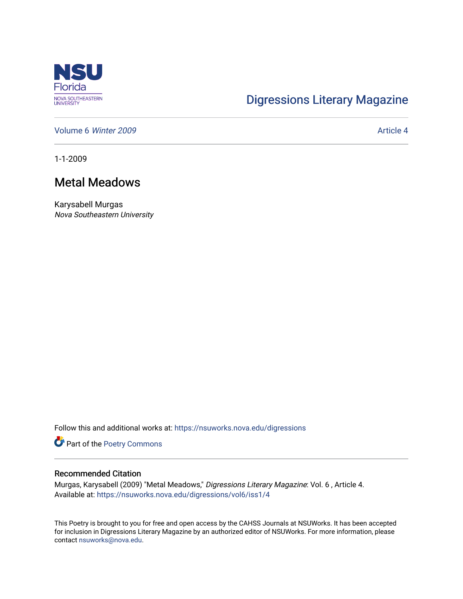

## [Digressions Literary Magazine](https://nsuworks.nova.edu/digressions)

[Volume 6](https://nsuworks.nova.edu/digressions/vol6) Winter 2009 **Article 4** Article 4

1-1-2009

## Metal Meadows

Karysabell Murgas Nova Southeastern University

Follow this and additional works at: [https://nsuworks.nova.edu/digressions](https://nsuworks.nova.edu/digressions?utm_source=nsuworks.nova.edu%2Fdigressions%2Fvol6%2Fiss1%2F4&utm_medium=PDF&utm_campaign=PDFCoverPages) 

Part of the [Poetry Commons](http://network.bepress.com/hgg/discipline/1153?utm_source=nsuworks.nova.edu%2Fdigressions%2Fvol6%2Fiss1%2F4&utm_medium=PDF&utm_campaign=PDFCoverPages) 

## Recommended Citation

Murgas, Karysabell (2009) "Metal Meadows," Digressions Literary Magazine: Vol. 6 , Article 4. Available at: [https://nsuworks.nova.edu/digressions/vol6/iss1/4](https://nsuworks.nova.edu/digressions/vol6/iss1/4?utm_source=nsuworks.nova.edu%2Fdigressions%2Fvol6%2Fiss1%2F4&utm_medium=PDF&utm_campaign=PDFCoverPages) 

This Poetry is brought to you for free and open access by the CAHSS Journals at NSUWorks. It has been accepted for inclusion in Digressions Literary Magazine by an authorized editor of NSUWorks. For more information, please contact [nsuworks@nova.edu.](mailto:nsuworks@nova.edu)